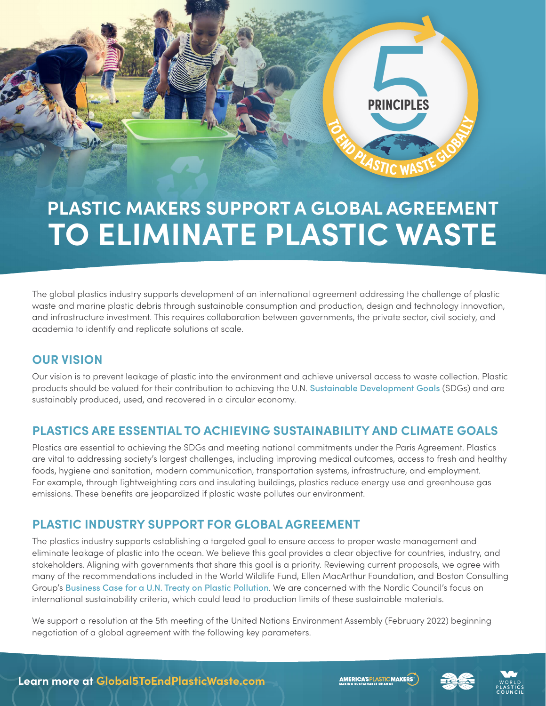

# **PLASTIC MAKERS SUPPORT A GLOBAL AGREEMENT TO ELIMINATE PLASTIC WASTE**

The global plastics industry supports development of an international agreement addressing the challenge of plastic waste and marine plastic debris through sustainable consumption and production, design and technology innovation, and infrastructure investment. This requires collaboration between governments, the private sector, civil society, and academia to identify and replicate solutions at scale.

#### **OUR VISION**

Our vision is to prevent leakage of plastic into the environment and achieve universal access to waste collection. Plastic products should be valued for their contribution to achieving the U.N. [Sustainable Development Goals](https://sdgs.un.org/goals) (SDGs) and are sustainably produced, used, and recovered in a circular economy.

#### **PLASTICS ARE ESSENTIAL TO ACHIEVING SUSTAINABILITY AND CLIMATE GOALS**

Plastics are essential to achieving the SDGs and meeting national commitments under the Paris Agreement. Plastics are vital to addressing society's largest challenges, including improving medical outcomes, access to fresh and healthy foods, hygiene and sanitation, modern communication, transportation systems, infrastructure, and employment. For example, through lightweighting cars and insulating buildings, plastics reduce energy use and greenhouse gas emissions. These benefits are jeopardized if plastic waste pollutes our environment.

### **PLASTIC INDUSTRY SUPPORT FOR GLOBAL AGREEMENT**

The plastics industry supports establishing a targeted goal to ensure access to proper waste management and eliminate leakage of plastic into the ocean. We believe this goal provides a clear objective for countries, industry, and stakeholders. Aligning with governments that share this goal is a priority. Reviewing current proposals, we agree with many of the recommendations included in the World Wildlife Fund, Ellen MacArthur Foundation, and Boston Consulting Group's [Business Case for a U.N. Treaty on Plastic Pollution](https://lp.panda.org/plastic-pollution-report). We are concerned with the Nordic Council's focus on international sustainability criteria, which could lead to production limits of these sustainable materials.

We support a resolution at the 5th meeting of the United Nations Environment Assembly (February 2022) beginning negotiation of a global agreement with the following key parameters.

**AMERICA'S PLASTIC MAKERS**